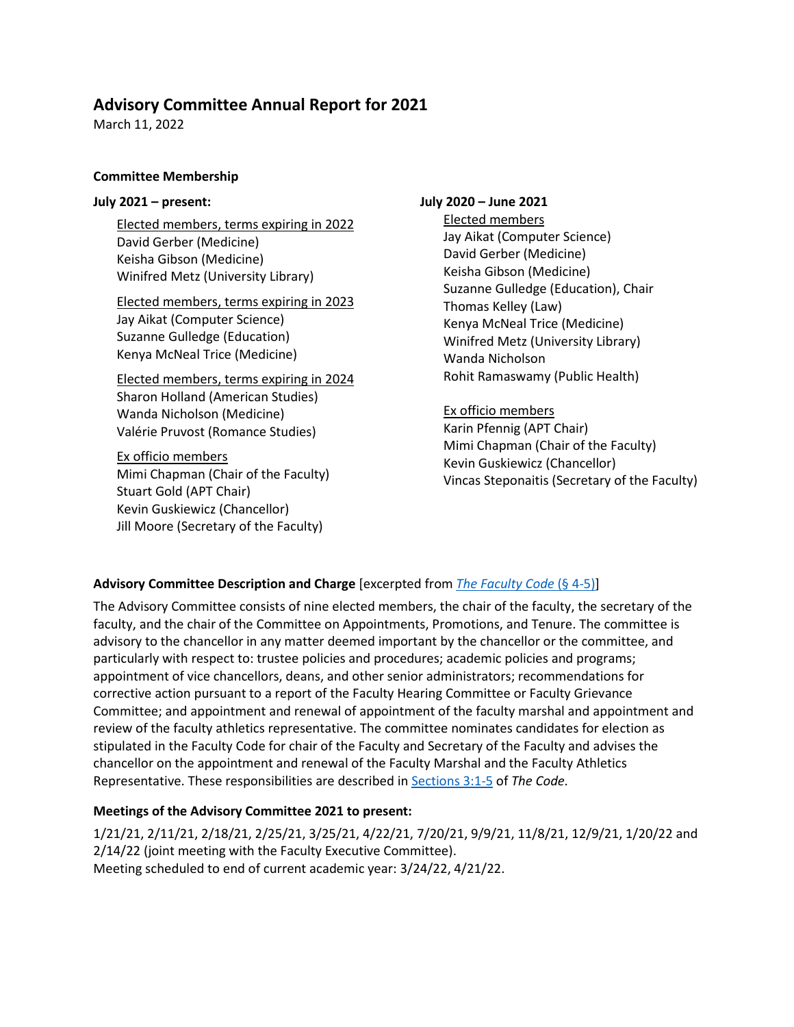# **Advisory Committee Annual Report for 2021**

March 11, 2022

## **Committee Membership**

#### **July 2021 – present:**

Elected members, terms expiring in 2022 David Gerber (Medicine) Keisha Gibson (Medicine) Winifred Metz (University Library)

Elected members, terms expiring in 2023 Jay Aikat (Computer Science) Suzanne Gulledge (Education) Kenya McNeal Trice (Medicine)

Elected members, terms expiring in 2024 Sharon Holland (American Studies) Wanda Nicholson (Medicine) Valérie Pruvost (Romance Studies)

Ex officio members Mimi Chapman (Chair of the Faculty) Stuart Gold (APT Chair) Kevin Guskiewicz (Chancellor) Jill Moore (Secretary of the Faculty)

### **July 2020 – June 2021**

Elected members Jay Aikat (Computer Science) David Gerber (Medicine) Keisha Gibson (Medicine) Suzanne Gulledge (Education), Chair Thomas Kelley (Law) Kenya McNeal Trice (Medicine) Winifred Metz (University Library) Wanda Nicholson Rohit Ramaswamy (Public Health)

Ex officio members Karin Pfennig (APT Chair) Mimi Chapman (Chair of the Faculty) Kevin Guskiewicz (Chancellor) Vincas Steponaitis (Secretary of the Faculty)

## **Advisory Committee Description and Charge** [excerpted from *[The Faculty Code](https://facultygov.unc.edu/faculty-code/article-4/#4-4)* (§ 4-5)]

The Advisory Committee consists of nine elected members, the chair of the faculty, the secretary of the faculty, and the chair of the Committee on Appointments, Promotions, and Tenure. The committee is advisory to the chancellor in any matter deemed important by the chancellor or the committee, and particularly with respect to: trustee policies and procedures; academic policies and programs; appointment of vice chancellors, deans, and other senior administrators; recommendations for corrective action pursuant to a report of the Faculty Hearing Committee or Faculty Grievance Committee; and appointment and renewal of appointment of the faculty marshal and appointment and review of the faculty athletics representative. The committee nominates candidates for election as stipulated in the Faculty Code for chair of the Faculty and Secretary of the Faculty and advises the chancellor on the appointment and renewal of the Faculty Marshal and the Faculty Athletics Representative. These responsibilities are described in [Sections 3:1-5](https://facultygov.unc.edu/faculty-code/article-3/) of *The Code*.

## **Meetings of the Advisory Committee 2021 to present:**

1/21/21, 2/11/21, 2/18/21, 2/25/21, 3/25/21, 4/22/21, 7/20/21, 9/9/21, 11/8/21, 12/9/21, 1/20/22 and 2/14/22 (joint meeting with the Faculty Executive Committee). Meeting scheduled to end of current academic year: 3/24/22, 4/21/22.